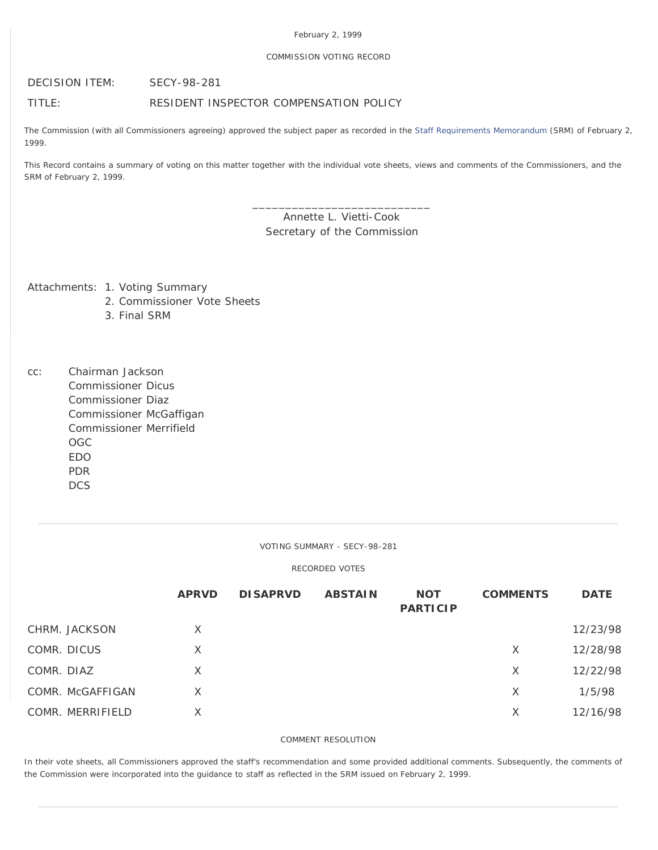### February 2, 1999

### COMMISSION VOTING RECORD

DECISION ITEM: SECY-98-281

# TITLE: RESIDENT INSPECTOR COMPENSATION POLICY

The Commission (with all Commissioners agreeing) approved the subject paper as recorded in the [Staff Requirements Memorandum](http://www.nrc.gov/reading-rm/doc-collections/commission/srm/1998/1998-281srm.html) (SRM) of February 2, 1999.

This Record contains a summary of voting on this matter together with the individual vote sheets, views and comments of the Commissioners, and the SRM of February 2, 1999.

> Annette L. Vietti-Cook Secretary of the Commission

\_\_\_\_\_\_\_\_\_\_\_\_\_\_\_\_\_\_\_\_\_\_\_\_\_\_\_

Attachments: 1. Voting Summary

- 2. Commissioner Vote Sheets
- 3. Final SRM
- cc: Chairman Jackson Commissioner Dicus Commissioner Diaz Commissioner McGaffigan Commissioner Merrifield OGC EDO PDR **DCS**

VOTING SUMMARY - SECY-98-281

## RECORDED VOTES

|                  | <b>APRVD</b> | <b>DISAPRVD</b> | <b>ABSTAIN</b> | <b>NOT</b><br><b>PARTICIP</b> | <b>COMMENTS</b> | <b>DATE</b> |
|------------------|--------------|-----------------|----------------|-------------------------------|-----------------|-------------|
| CHRM. JACKSON    | X            |                 |                |                               |                 | 12/23/98    |
| COMR. DICUS      | X            |                 |                |                               | X               | 12/28/98    |
| COMR. DIAZ       | X            |                 |                |                               | X               | 12/22/98    |
| COMR. McGAFFIGAN | $\times$     |                 |                |                               | X               | 1/5/98      |
| COMR. MERRIFIELD | X            |                 |                |                               | X               | 12/16/98    |
|                  |              |                 |                |                               |                 |             |

### COMMENT RESOLUTION

In their vote sheets, all Commissioners approved the staff's recommendation and some provided additional comments. Subsequently, the comments of the Commission were incorporated into the guidance to staff as reflected in the SRM issued on February 2, 1999.